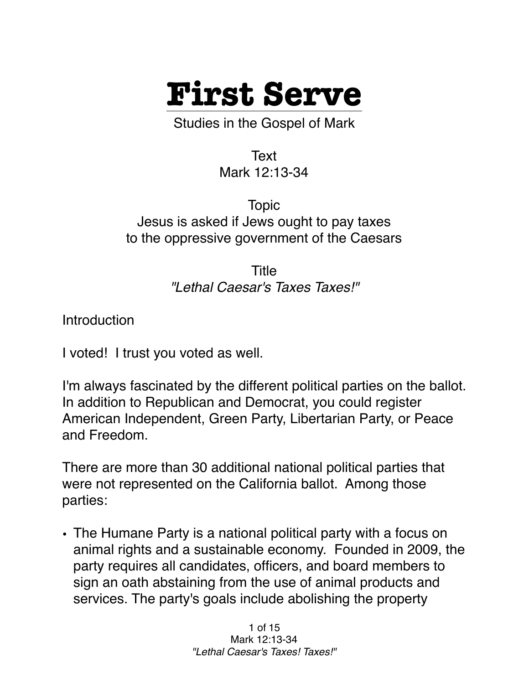

Studies in the Gospel of Mark

Text Mark 12:13-34

Topic Jesus is asked if Jews ought to pay taxes to the oppressive government of the Caesars

> Title *"Lethal Caesar's Taxes Taxes!"*

**Introduction** 

I voted! I trust you voted as well.

I'm always fascinated by the different political parties on the ballot. In addition to Republican and Democrat, you could register American Independent, Green Party, Libertarian Party, or Peace and Freedom.

There are more than 30 additional national political parties that were not represented on the California ballot. Among those parties:

• The Humane Party is a national political party with a focus on animal rights and a sustainable economy. Founded in 2009, the party requires all candidates, officers, and board members to sign an oath abstaining from the use of animal products and services. The party's goals include abolishing the property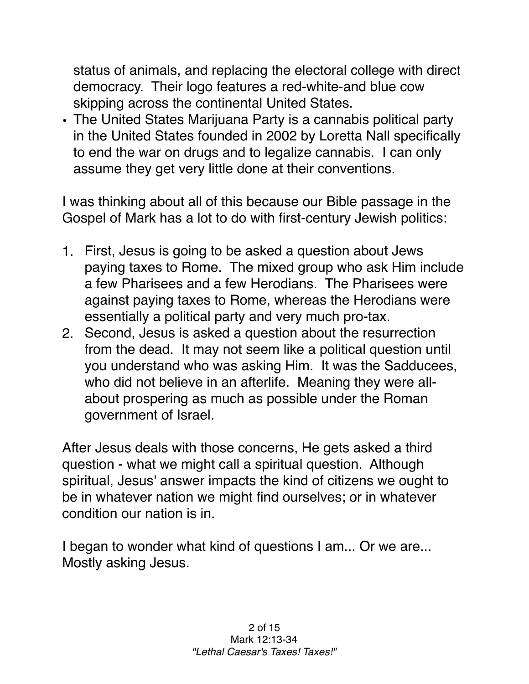status of animals, and replacing the electoral college with direct democracy. Their logo features a red-white-and blue cow skipping across the continental United States.

• The United States Marijuana Party is a cannabis political party in the United States founded in 2002 by Loretta Nall specifically to end the war on drugs and to legalize cannabis. I can only assume they get very little done at their conventions.

I was thinking about all of this because our Bible passage in the Gospel of Mark has a lot to do with first-century Jewish politics:

- 1. First, Jesus is going to be asked a question about Jews paying taxes to Rome. The mixed group who ask Him include a few Pharisees and a few Herodians. The Pharisees were against paying taxes to Rome, whereas the Herodians were essentially a political party and very much pro-tax.
- 2. Second, Jesus is asked a question about the resurrection from the dead. It may not seem like a political question until you understand who was asking Him. It was the Sadducees, who did not believe in an afterlife. Meaning they were allabout prospering as much as possible under the Roman government of Israel.

After Jesus deals with those concerns, He gets asked a third question - what we might call a spiritual question. Although spiritual, Jesus' answer impacts the kind of citizens we ought to be in whatever nation we might find ourselves; or in whatever condition our nation is in.

I began to wonder what kind of questions I am... Or we are... Mostly asking Jesus.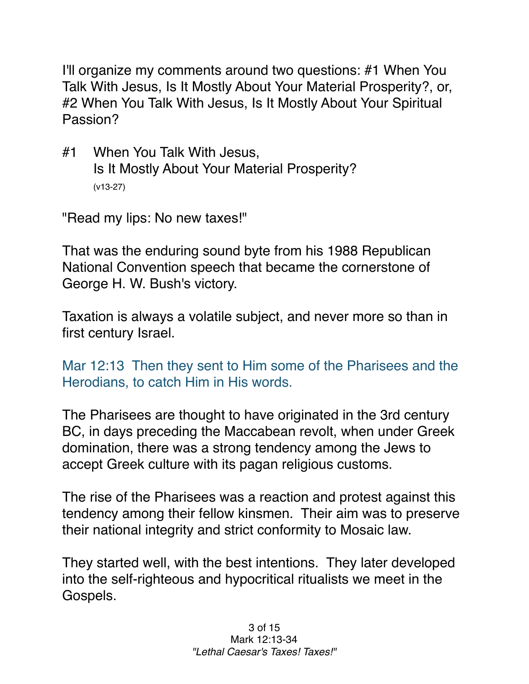I'll organize my comments around two questions: #1 When You Talk With Jesus, Is It Mostly About Your Material Prosperity?, or, #2 When You Talk With Jesus, Is It Mostly About Your Spiritual Passion?

#1 When You Talk With Jesus, Is It Mostly About Your Material Prosperity? (v13-27)

"Read my lips: No new taxes!"

That was the enduring sound byte from his 1988 Republican National Convention speech that became the cornerstone of George H. W. Bush's victory.

Taxation is always a volatile subject, and never more so than in first century Israel.

Mar 12:13 Then they sent to Him some of the Pharisees and the Herodians, to catch Him in His words.

The Pharisees are thought to have originated in the 3rd century BC, in days preceding the Maccabean revolt, when under Greek domination, there was a strong tendency among the Jews to accept Greek culture with its pagan religious customs.

The rise of the Pharisees was a reaction and protest against this tendency among their fellow kinsmen. Their aim was to preserve their national integrity and strict conformity to Mosaic law.

They started well, with the best intentions. They later developed into the self-righteous and hypocritical ritualists we meet in the Gospels.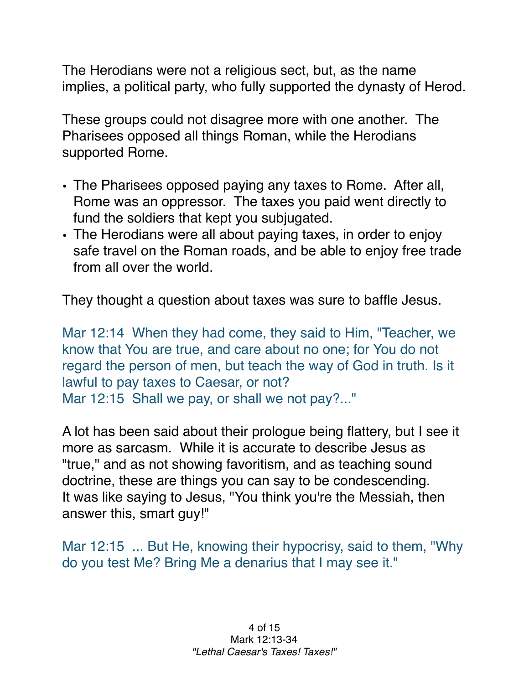The Herodians were not a religious sect, but, as the name implies, a political party, who fully supported the dynasty of Herod.

These groups could not disagree more with one another. The Pharisees opposed all things Roman, while the Herodians supported Rome.

- The Pharisees opposed paying any taxes to Rome. After all, Rome was an oppressor. The taxes you paid went directly to fund the soldiers that kept you subjugated.
- The Herodians were all about paying taxes, in order to enjoy safe travel on the Roman roads, and be able to enjoy free trade from all over the world.

They thought a question about taxes was sure to baffle Jesus.

Mar 12:14 When they had come, they said to Him, "Teacher, we know that You are true, and care about no one; for You do not regard the person of men, but teach the way of God in truth. Is it lawful to pay taxes to Caesar, or not? Mar 12:15 Shall we pay, or shall we not pay?..."

A lot has been said about their prologue being flattery, but I see it more as sarcasm. While it is accurate to describe Jesus as "true," and as not showing favoritism, and as teaching sound doctrine, these are things you can say to be condescending. It was like saying to Jesus, "You think you're the Messiah, then answer this, smart guy!"

Mar 12:15 ... But He, knowing their hypocrisy, said to them, "Why do you test Me? Bring Me a denarius that I may see it."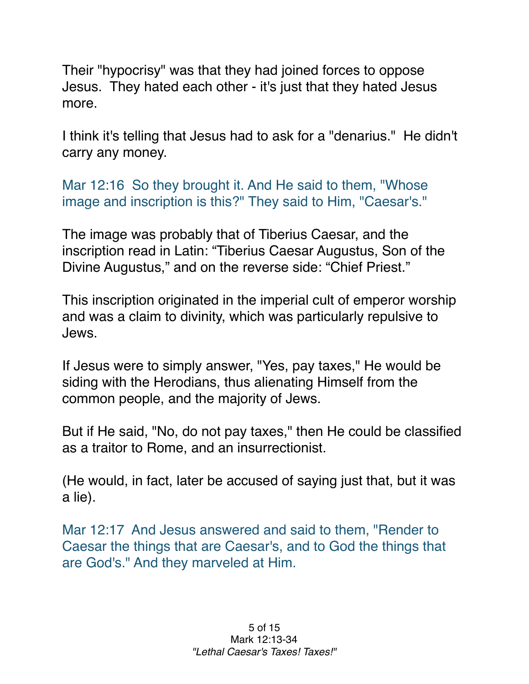Their "hypocrisy" was that they had joined forces to oppose Jesus. They hated each other - it's just that they hated Jesus more.

I think it's telling that Jesus had to ask for a "denarius." He didn't carry any money.

Mar 12:16 So they brought it. And He said to them, "Whose image and inscription is this?" They said to Him, "Caesar's."

The image was probably that of Tiberius Caesar, and the inscription read in Latin: "Tiberius Caesar Augustus, Son of the Divine Augustus," and on the reverse side: "Chief Priest."

This inscription originated in the imperial cult of emperor worship and was a claim to divinity, which was particularly repulsive to Jews.

If Jesus were to simply answer, "Yes, pay taxes," He would be siding with the Herodians, thus alienating Himself from the common people, and the majority of Jews.

But if He said, "No, do not pay taxes," then He could be classified as a traitor to Rome, and an insurrectionist.

(He would, in fact, later be accused of saying just that, but it was a lie).

Mar 12:17 And Jesus answered and said to them, "Render to Caesar the things that are Caesar's, and to God the things that are God's." And they marveled at Him.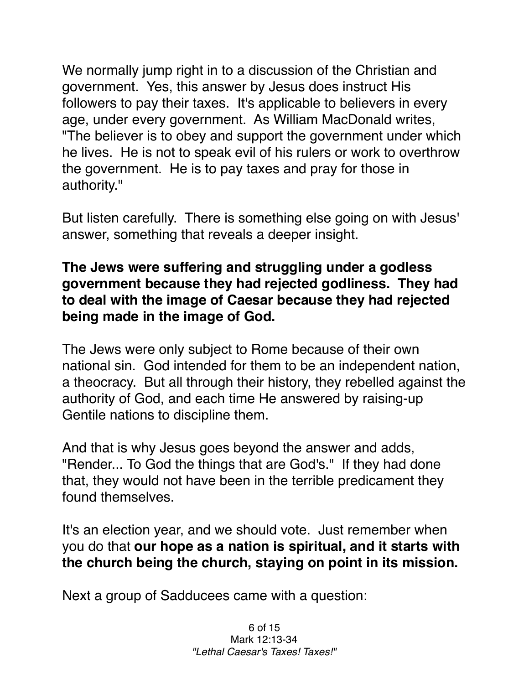We normally jump right in to a discussion of the Christian and government. Yes, this answer by Jesus does instruct His followers to pay their taxes. It's applicable to believers in every age, under every government. As William MacDonald writes, "The believer is to obey and support the government under which he lives. He is not to speak evil of his rulers or work to overthrow the government. He is to pay taxes and pray for those in authority."

But listen carefully. There is something else going on with Jesus' answer, something that reveals a deeper insight.

## **The Jews were suffering and struggling under a godless government because they had rejected godliness. They had to deal with the image of Caesar because they had rejected being made in the image of God.**

The Jews were only subject to Rome because of their own national sin. God intended for them to be an independent nation, a theocracy. But all through their history, they rebelled against the authority of God, and each time He answered by raising-up Gentile nations to discipline them.

And that is why Jesus goes beyond the answer and adds, "Render... To God the things that are God's." If they had done that, they would not have been in the terrible predicament they found themselves.

It's an election year, and we should vote. Just remember when you do that **our hope as a nation is spiritual, and it starts with the church being the church, staying on point in its mission.**

Next a group of Sadducees came with a question: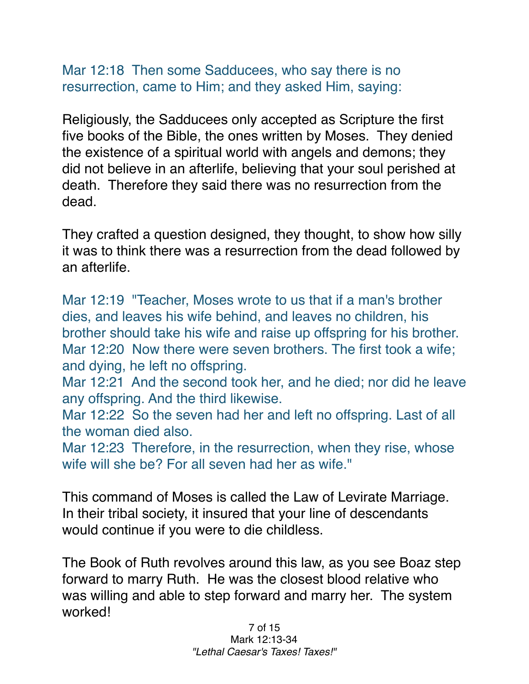Mar 12:18 Then some Sadducees, who say there is no resurrection, came to Him; and they asked Him, saying:

Religiously, the Sadducees only accepted as Scripture the first five books of the Bible, the ones written by Moses. They denied the existence of a spiritual world with angels and demons; they did not believe in an afterlife, believing that your soul perished at death. Therefore they said there was no resurrection from the dead.

They crafted a question designed, they thought, to show how silly it was to think there was a resurrection from the dead followed by an afterlife.

Mar 12:19 "Teacher, Moses wrote to us that if a man's brother dies, and leaves his wife behind, and leaves no children, his brother should take his wife and raise up offspring for his brother. Mar 12:20 Now there were seven brothers. The first took a wife; and dying, he left no offspring.

Mar 12:21 And the second took her, and he died; nor did he leave any offspring. And the third likewise.

Mar 12:22 So the seven had her and left no offspring. Last of all the woman died also.

Mar 12:23 Therefore, in the resurrection, when they rise, whose wife will she be? For all seven had her as wife."

This command of Moses is called the Law of Levirate Marriage. In their tribal society, it insured that your line of descendants would continue if you were to die childless.

The Book of Ruth revolves around this law, as you see Boaz step forward to marry Ruth. He was the closest blood relative who was willing and able to step forward and marry her. The system worked!

> 7 of 15 Mark 12:13-34 *"Lethal Caesar's Taxes! Taxes!"*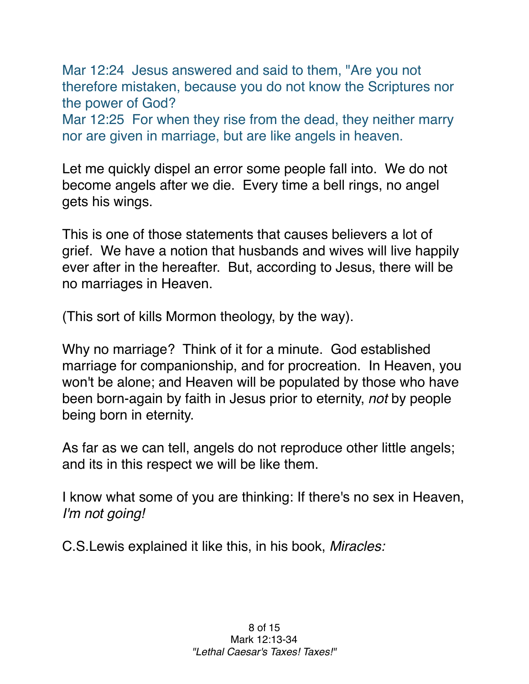Mar 12:24 Jesus answered and said to them, "Are you not therefore mistaken, because you do not know the Scriptures nor the power of God?

Mar 12:25 For when they rise from the dead, they neither marry nor are given in marriage, but are like angels in heaven.

Let me quickly dispel an error some people fall into. We do not become angels after we die. Every time a bell rings, no angel gets his wings.

This is one of those statements that causes believers a lot of grief. We have a notion that husbands and wives will live happily ever after in the hereafter. But, according to Jesus, there will be no marriages in Heaven.

(This sort of kills Mormon theology, by the way).

Why no marriage? Think of it for a minute. God established marriage for companionship, and for procreation. In Heaven, you won't be alone; and Heaven will be populated by those who have been born-again by faith in Jesus prior to eternity, *not* by people being born in eternity.

As far as we can tell, angels do not reproduce other little angels; and its in this respect we will be like them.

I know what some of you are thinking: If there's no sex in Heaven, *I'm not going!*

C.S.Lewis explained it like this, in his book, *Miracles:*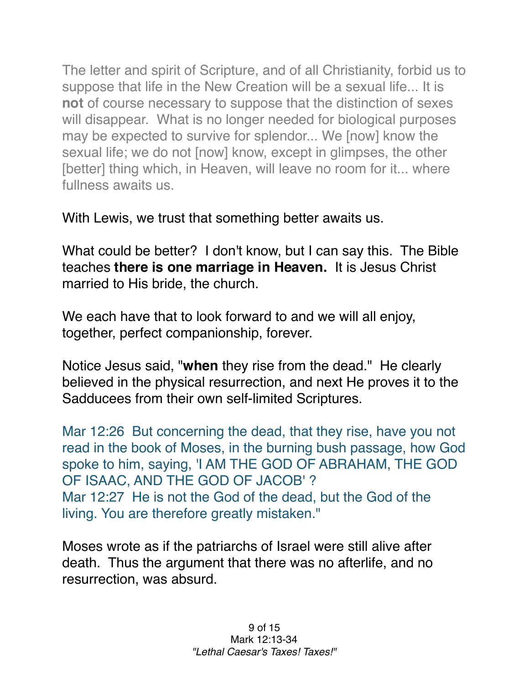The letter and spirit of Scripture, and of all Christianity, forbid us to suppose that life in the New Creation will be a sexual life... It is **not** of course necessary to suppose that the distinction of sexes will disappear. What is no longer needed for biological purposes may be expected to survive for splendor... We [now] know the sexual life; we do not [now] know, except in glimpses, the other [better] thing which, in Heaven, will leave no room for it... where fullness awaits us.

With Lewis, we trust that something better awaits us.

What could be better? I don't know, but I can say this. The Bible teaches **there is one marriage in Heaven.** It is Jesus Christ married to His bride, the church.

We each have that to look forward to and we will all enjoy, together, perfect companionship, forever.

Notice Jesus said, "**when** they rise from the dead." He clearly believed in the physical resurrection, and next He proves it to the Sadducees from their own self-limited Scriptures.

Mar 12:26 But concerning the dead, that they rise, have you not read in the book of Moses, in the burning bush passage, how God spoke to him, saying, 'I AM THE GOD OF ABRAHAM, THE GOD OF ISAAC, AND THE GOD OF JACOB' ? Mar 12:27 He is not the God of the dead, but the God of the living. You are therefore greatly mistaken."

Moses wrote as if the patriarchs of Israel were still alive after death. Thus the argument that there was no afterlife, and no resurrection, was absurd.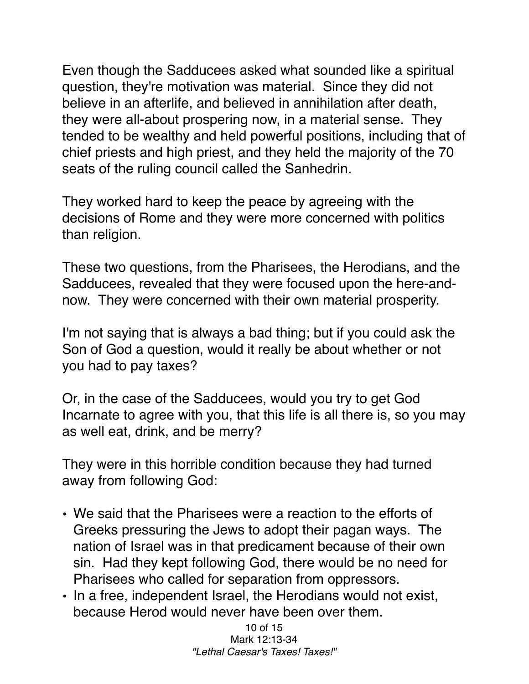Even though the Sadducees asked what sounded like a spiritual question, they're motivation was material. Since they did not believe in an afterlife, and believed in annihilation after death, they were all-about prospering now, in a material sense. They tended to be wealthy and held powerful positions, including that of chief priests and high priest, and they held the majority of the 70 seats of the ruling council called the Sanhedrin.

They worked hard to keep the peace by agreeing with the decisions of Rome and they were more concerned with politics than religion.

These two questions, from the Pharisees, the Herodians, and the Sadducees, revealed that they were focused upon the here-andnow. They were concerned with their own material prosperity.

I'm not saying that is always a bad thing; but if you could ask the Son of God a question, would it really be about whether or not you had to pay taxes?

Or, in the case of the Sadducees, would you try to get God Incarnate to agree with you, that this life is all there is, so you may as well eat, drink, and be merry?

They were in this horrible condition because they had turned away from following God:

- We said that the Pharisees were a reaction to the efforts of Greeks pressuring the Jews to adopt their pagan ways. The nation of Israel was in that predicament because of their own sin. Had they kept following God, there would be no need for Pharisees who called for separation from oppressors.
- In a free, independent Israel, the Herodians would not exist, because Herod would never have been over them.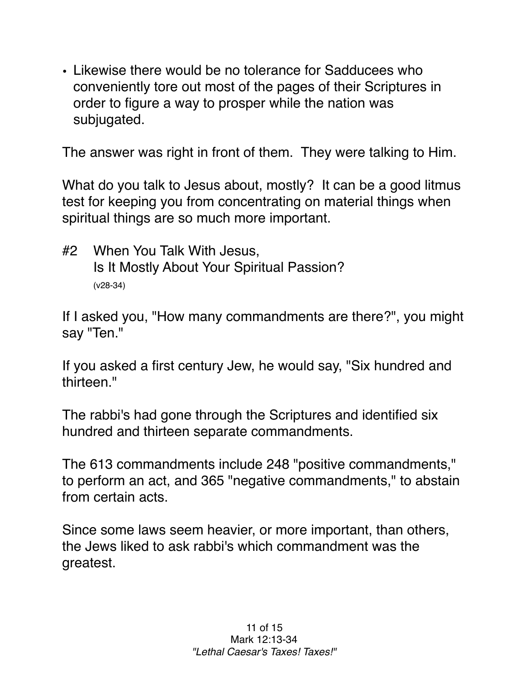• Likewise there would be no tolerance for Sadducees who conveniently tore out most of the pages of their Scriptures in order to figure a way to prosper while the nation was subjugated.

The answer was right in front of them. They were talking to Him.

What do you talk to Jesus about, mostly? It can be a good litmus test for keeping you from concentrating on material things when spiritual things are so much more important.

#2 When You Talk With Jesus, Is It Mostly About Your Spiritual Passion? (v28-34)

If I asked you, "How many commandments are there?", you might say "Ten."

If you asked a first century Jew, he would say, "Six hundred and thirteen<sup>"</sup>

The rabbi's had gone through the Scriptures and identified six hundred and thirteen separate commandments.

The 613 commandments include 248 "positive commandments," to perform an act, and 365 "negative commandments," to abstain from certain acts.

Since some laws seem heavier, or more important, than others, the Jews liked to ask rabbi's which commandment was the greatest.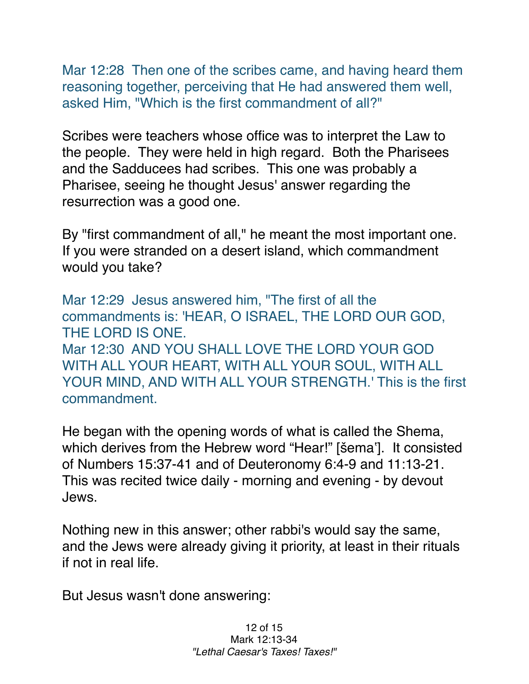Mar 12:28 Then one of the scribes came, and having heard them reasoning together, perceiving that He had answered them well, asked Him, "Which is the first commandment of all?"

Scribes were teachers whose office was to interpret the Law to the people. They were held in high regard. Both the Pharisees and the Sadducees had scribes. This one was probably a Pharisee, seeing he thought Jesus' answer regarding the resurrection was a good one.

By "first commandment of all," he meant the most important one. If you were stranded on a desert island, which commandment would you take?

Mar 12:29 Jesus answered him, "The first of all the commandments is: 'HEAR, O ISRAEL, THE LORD OUR GOD, THE LORD IS ONE. Mar 12:30 AND YOU SHALL LOVE THE LORD YOUR GOD WITH ALL YOUR HEART, WITH ALL YOUR SOUL, WITH ALL YOUR MIND, AND WITH ALL YOUR STRENGTH.' This is the first commandment.

He began with the opening words of what is called the Shema, which derives from the Hebrew word "Hear!" [šema']. It consisted of Numbers 15:37-41 and of Deuteronomy 6:4-9 and 11:13-21. This was recited twice daily - morning and evening - by devout Jews.

Nothing new in this answer; other rabbi's would say the same, and the Jews were already giving it priority, at least in their rituals if not in real life.

But Jesus wasn't done answering: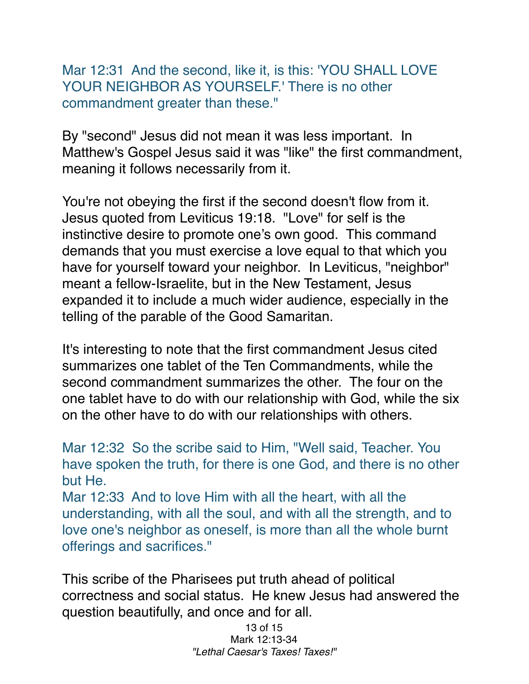Mar 12:31 And the second, like it, is this: 'YOU SHALL LOVE YOUR NEIGHBOR AS YOURSELF.' There is no other commandment greater than these."

By "second" Jesus did not mean it was less important. In Matthew's Gospel Jesus said it was "like" the first commandment, meaning it follows necessarily from it.

You're not obeying the first if the second doesn't flow from it. Jesus quoted from Leviticus 19:18. "Love" for self is the instinctive desire to promote one's own good. This command demands that you must exercise a love equal to that which you have for yourself toward your neighbor. In Leviticus, "neighbor" meant a fellow-Israelite, but in the New Testament, Jesus expanded it to include a much wider audience, especially in the telling of the parable of the Good Samaritan.

It's interesting to note that the first commandment Jesus cited summarizes one tablet of the Ten Commandments, while the second commandment summarizes the other. The four on the one tablet have to do with our relationship with God, while the six on the other have to do with our relationships with others.

Mar 12:32 So the scribe said to Him, "Well said, Teacher. You have spoken the truth, for there is one God, and there is no other but He.

Mar 12:33 And to love Him with all the heart, with all the understanding, with all the soul, and with all the strength, and to love one's neighbor as oneself, is more than all the whole burnt offerings and sacrifices."

This scribe of the Pharisees put truth ahead of political correctness and social status. He knew Jesus had answered the question beautifully, and once and for all.

> 13 of 15 Mark 12:13-34 *"Lethal Caesar's Taxes! Taxes!"*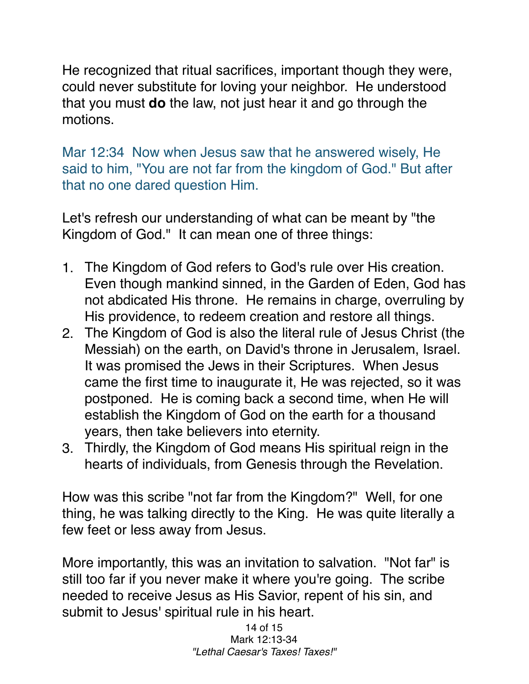He recognized that ritual sacrifices, important though they were, could never substitute for loving your neighbor. He understood that you must **do** the law, not just hear it and go through the motions.

Mar 12:34 Now when Jesus saw that he answered wisely, He said to him, "You are not far from the kingdom of God." But after that no one dared question Him.

Let's refresh our understanding of what can be meant by "the Kingdom of God." It can mean one of three things:

- 1. The Kingdom of God refers to God's rule over His creation. Even though mankind sinned, in the Garden of Eden, God has not abdicated His throne. He remains in charge, overruling by His providence, to redeem creation and restore all things.
- 2. The Kingdom of God is also the literal rule of Jesus Christ (the Messiah) on the earth, on David's throne in Jerusalem, Israel. It was promised the Jews in their Scriptures. When Jesus came the first time to inaugurate it, He was rejected, so it was postponed. He is coming back a second time, when He will establish the Kingdom of God on the earth for a thousand years, then take believers into eternity.
- 3. Thirdly, the Kingdom of God means His spiritual reign in the hearts of individuals, from Genesis through the Revelation.

How was this scribe "not far from the Kingdom?" Well, for one thing, he was talking directly to the King. He was quite literally a few feet or less away from Jesus.

More importantly, this was an invitation to salvation. "Not far" is still too far if you never make it where you're going. The scribe needed to receive Jesus as His Savior, repent of his sin, and submit to Jesus' spiritual rule in his heart.